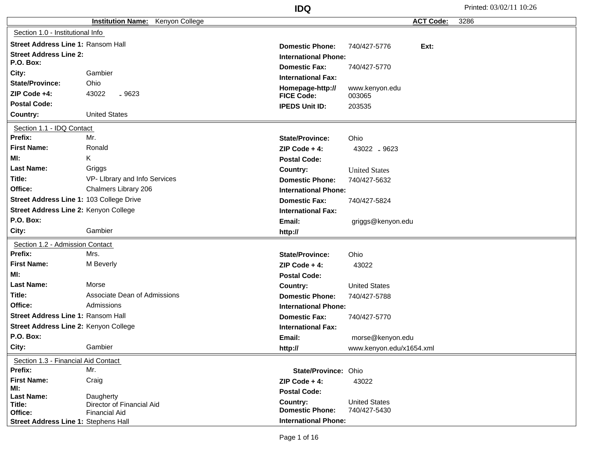|                                           |                                            | <b>IDQ</b>                  |                          | Printed: 03/02/11 10:26 |
|-------------------------------------------|--------------------------------------------|-----------------------------|--------------------------|-------------------------|
|                                           | Kenyon College<br><b>Institution Name:</b> |                             | <b>ACT Code:</b>         | 3286                    |
| Section 1.0 - Institutional Info          |                                            |                             |                          |                         |
| Street Address Line 1: Ransom Hall        |                                            | <b>Domestic Phone:</b>      | Ext:<br>740/427-5776     |                         |
| <b>Street Address Line 2:</b>             |                                            | <b>International Phone:</b> |                          |                         |
| <b>P.O. Box:</b>                          |                                            | <b>Domestic Fax:</b>        | 740/427-5770             |                         |
| City:                                     | Gambier                                    | <b>International Fax:</b>   |                          |                         |
| <b>State/Province:</b>                    | Ohio                                       | Homepage-http://            | www.kenyon.edu           |                         |
| ZIP Code +4:                              | 43022<br>$-9623$                           | <b>FICE Code:</b>           | 003065                   |                         |
| <b>Postal Code:</b>                       |                                            | <b>IPEDS Unit ID:</b>       | 203535                   |                         |
| Country:                                  | <b>United States</b>                       |                             |                          |                         |
| Section 1.1 - IDQ Contact                 |                                            |                             |                          |                         |
| Prefix:                                   | Mr.                                        | <b>State/Province:</b>      | Ohio                     |                         |
| <b>First Name:</b>                        | Ronald                                     | ZIP Code $+4$ :             | 43022 .9623              |                         |
| MI:                                       | Κ                                          | <b>Postal Code:</b>         |                          |                         |
| <b>Last Name:</b>                         | Griggs                                     | Country:                    | <b>United States</b>     |                         |
| Title:                                    | VP- Library and Info Services              | <b>Domestic Phone:</b>      | 740/427-5632             |                         |
| Office:                                   | Chalmers Library 206                       | <b>International Phone:</b> |                          |                         |
| Street Address Line 1: 103 College Drive  |                                            | <b>Domestic Fax:</b>        | 740/427-5824             |                         |
| Street Address Line 2: Kenyon College     |                                            | <b>International Fax:</b>   |                          |                         |
| P.O. Box:                                 |                                            | Email:                      | griggs@kenyon.edu        |                         |
| City:                                     | Gambier                                    | http://                     |                          |                         |
| Section 1.2 - Admission Contact           |                                            |                             |                          |                         |
| Prefix:                                   | Mrs.                                       | <b>State/Province:</b>      | Ohio                     |                         |
| <b>First Name:</b>                        | M Beverly                                  | ZIP Code $+4$ :             | 43022                    |                         |
| MI:                                       |                                            | <b>Postal Code:</b>         |                          |                         |
| <b>Last Name:</b>                         | Morse                                      | Country:                    | <b>United States</b>     |                         |
| Title:                                    | Associate Dean of Admissions               | <b>Domestic Phone:</b>      | 740/427-5788             |                         |
| Office:                                   | Admissions                                 | <b>International Phone:</b> |                          |                         |
| <b>Street Address Line 1: Ransom Hall</b> |                                            | <b>Domestic Fax:</b>        | 740/427-5770             |                         |
| Street Address Line 2: Kenyon College     |                                            | <b>International Fax:</b>   |                          |                         |
| P.O. Box:                                 |                                            | Email:                      | morse@kenyon.edu         |                         |
| City:                                     | Gambier                                    | http://                     | www.kenyon.edu/x1654.xml |                         |
| Section 1.3 - Financial Aid Contact       |                                            |                             |                          |                         |
| Prefix:                                   | Mr.                                        | State/Province: Ohio        |                          |                         |
| <b>First Name:</b>                        | Craig                                      | $ZIP Code + 4:$             | 43022                    |                         |
| MI:<br><b>Last Name:</b>                  |                                            | <b>Postal Code:</b>         |                          |                         |
| Title:                                    | Daugherty<br>Director of Financial Aid     | Country:                    | <b>United States</b>     |                         |
| Office:                                   | <b>Financial Aid</b>                       | <b>Domestic Phone:</b>      | 740/427-5430             |                         |
| Street Address Line 1: Stephens Hall      |                                            | <b>International Phone:</b> |                          |                         |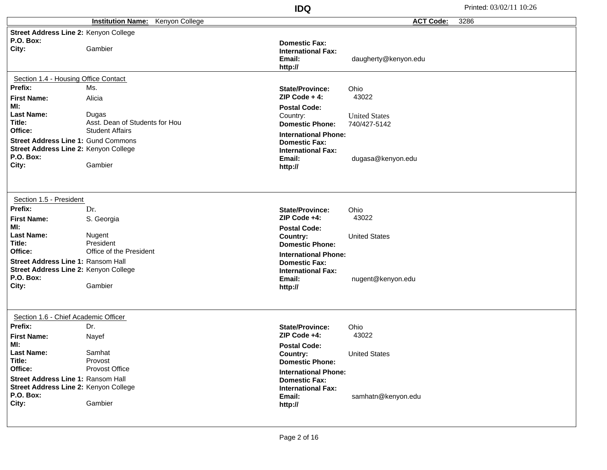|                                                                                                                     |                                                                   | <b>IDQ</b>                                                                                            |                                      | Printed: 03/02/11 10:26 |
|---------------------------------------------------------------------------------------------------------------------|-------------------------------------------------------------------|-------------------------------------------------------------------------------------------------------|--------------------------------------|-------------------------|
|                                                                                                                     | <b>Institution Name:</b><br>Kenyon College                        |                                                                                                       | <b>ACT Code:</b>                     | 3286                    |
| Street Address Line 2: Kenyon College<br>P.O. Box:                                                                  |                                                                   | <b>Domestic Fax:</b>                                                                                  |                                      |                         |
| City:                                                                                                               | Gambier                                                           | <b>International Fax:</b><br>Email:<br>http://                                                        | daugherty@kenyon.edu                 |                         |
| Section 1.4 - Housing Office Contact                                                                                |                                                                   |                                                                                                       |                                      |                         |
| Prefix:<br><b>First Name:</b>                                                                                       | Ms.<br>Alicia                                                     | <b>State/Province:</b><br>$ZIP Code + 4:$                                                             | Ohio<br>43022                        |                         |
| MI:<br><b>Last Name:</b><br>Title:<br>Office:                                                                       | Dugas<br>Asst. Dean of Students for Hou<br><b>Student Affairs</b> | <b>Postal Code:</b><br>Country:<br><b>Domestic Phone:</b>                                             | <b>United States</b><br>740/427-5142 |                         |
| Street Address Line 1: Gund Commons<br>Street Address Line 2: Kenyon College<br>P.O. Box:<br>City:                  | Gambier                                                           | <b>International Phone:</b><br><b>Domestic Fax:</b><br><b>International Fax:</b><br>Email:<br>http:// | dugasa@kenyon.edu                    |                         |
| Section 1.5 - President<br>Prefix:                                                                                  |                                                                   |                                                                                                       |                                      |                         |
| <b>First Name:</b><br>Ml:                                                                                           | Dr.<br>S. Georgia                                                 | <b>State/Province:</b><br>ZIP Code +4:                                                                | Ohio<br>43022                        |                         |
| <b>Last Name:</b><br>Title:                                                                                         | Nugent<br>President                                               | <b>Postal Code:</b><br>Country:<br><b>Domestic Phone:</b>                                             | <b>United States</b>                 |                         |
| Office:<br><b>Street Address Line 1: Ransom Hall</b><br>Street Address Line 2: Kenyon College<br>P.O. Box:<br>City: | Office of the President<br>Gambier                                | <b>International Phone:</b><br><b>Domestic Fax:</b><br><b>International Fax:</b><br>Email:<br>http:// | nugent@kenyon.edu                    |                         |
| Section 1.6 - Chief Academic Officer                                                                                |                                                                   |                                                                                                       |                                      |                         |
| Prefix:<br><b>First Name:</b>                                                                                       | Dr.<br>Nayef                                                      | <b>State/Province:</b><br>ZIP Code +4:                                                                | Ohio<br>43022                        |                         |
| MI:<br><b>Last Name:</b><br>Title:                                                                                  | Samhat<br>Provost                                                 | <b>Postal Code:</b><br>Country:<br><b>Domestic Phone:</b>                                             | <b>United States</b>                 |                         |
| Office:<br>Street Address Line 1: Ransom Hall<br>Street Address Line 2: Kenyon College<br>P.O. Box:<br>City:        | Provost Office<br>Gambier                                         | <b>International Phone:</b><br><b>Domestic Fax:</b><br><b>International Fax:</b><br>Email:<br>http:// | samhatn@kenyon.edu                   |                         |
|                                                                                                                     |                                                                   |                                                                                                       |                                      |                         |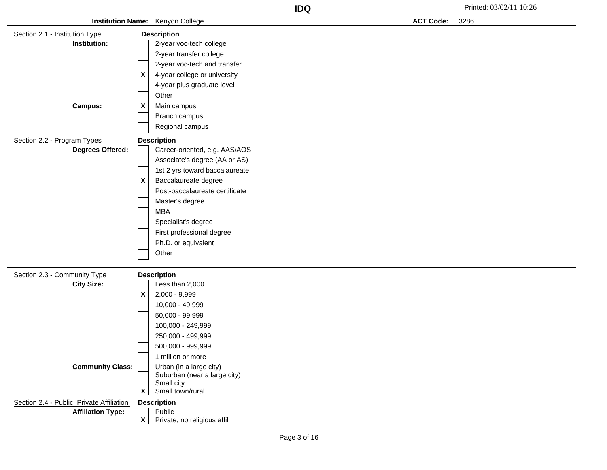| <b>Institution Name:</b>                  |                         | Kenyon College                             | <b>ACT Code:</b> | 3286 |
|-------------------------------------------|-------------------------|--------------------------------------------|------------------|------|
| Section 2.1 - Institution Type            |                         | <b>Description</b>                         |                  |      |
| Institution:                              |                         | 2-year voc-tech college                    |                  |      |
|                                           |                         | 2-year transfer college                    |                  |      |
|                                           |                         | 2-year voc-tech and transfer               |                  |      |
|                                           | X                       | 4-year college or university               |                  |      |
|                                           |                         | 4-year plus graduate level                 |                  |      |
|                                           |                         | Other                                      |                  |      |
| <b>Campus:</b>                            | X                       | Main campus                                |                  |      |
|                                           |                         | Branch campus                              |                  |      |
|                                           |                         | Regional campus                            |                  |      |
| Section 2.2 - Program Types               |                         | <b>Description</b>                         |                  |      |
| <b>Degrees Offered:</b>                   |                         | Career-oriented, e.g. AAS/AOS              |                  |      |
|                                           |                         | Associate's degree (AA or AS)              |                  |      |
|                                           |                         | 1st 2 yrs toward baccalaureate             |                  |      |
|                                           | Χ                       | Baccalaureate degree                       |                  |      |
|                                           |                         | Post-baccalaureate certificate             |                  |      |
|                                           |                         | Master's degree                            |                  |      |
|                                           |                         | <b>MBA</b>                                 |                  |      |
|                                           |                         | Specialist's degree                        |                  |      |
|                                           |                         | First professional degree                  |                  |      |
|                                           |                         | Ph.D. or equivalent                        |                  |      |
|                                           |                         | Other                                      |                  |      |
|                                           |                         |                                            |                  |      |
| Section 2.3 - Community Type              |                         | <b>Description</b>                         |                  |      |
| <b>City Size:</b>                         |                         | Less than 2,000                            |                  |      |
|                                           | X                       | 2,000 - 9,999                              |                  |      |
|                                           |                         | 10,000 - 49,999                            |                  |      |
|                                           |                         | 50,000 - 99,999                            |                  |      |
|                                           |                         | 100,000 - 249,999                          |                  |      |
|                                           |                         | 250,000 - 499,999                          |                  |      |
|                                           |                         | 500,000 - 999,999                          |                  |      |
|                                           |                         | 1 million or more                          |                  |      |
| <b>Community Class:</b>                   |                         | Urban (in a large city)                    |                  |      |
|                                           |                         | Suburban (near a large city)<br>Small city |                  |      |
|                                           | X                       | Small town/rural                           |                  |      |
| Section 2.4 - Public, Private Affiliation |                         | <b>Description</b>                         |                  |      |
| <b>Affiliation Type:</b>                  |                         | Public                                     |                  |      |
|                                           | $\overline{\mathbf{x}}$ | Private, no religious affil                |                  |      |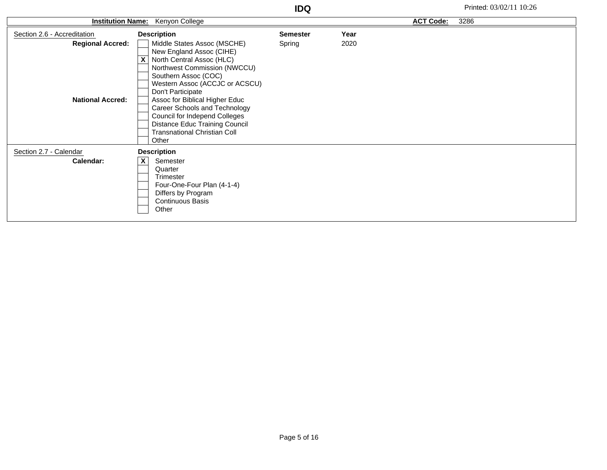| <b>Institution Name:</b>    | Kenyon College                                         |                 |      | <b>ACT Code:</b> | 3286 |
|-----------------------------|--------------------------------------------------------|-----------------|------|------------------|------|
| Section 2.6 - Accreditation | <b>Description</b>                                     | <b>Semester</b> | Year |                  |      |
| <b>Regional Accred:</b>     | Middle States Assoc (MSCHE)                            | Spring          | 2020 |                  |      |
|                             | New England Assoc (CIHE)                               |                 |      |                  |      |
|                             | X<br>North Central Assoc (HLC)                         |                 |      |                  |      |
|                             | Northwest Commission (NWCCU)                           |                 |      |                  |      |
|                             | Southern Assoc (COC)<br>Western Assoc (ACCJC or ACSCU) |                 |      |                  |      |
|                             | Don't Participate                                      |                 |      |                  |      |
| <b>National Accred:</b>     | Assoc for Biblical Higher Educ                         |                 |      |                  |      |
|                             | Career Schools and Technology                          |                 |      |                  |      |
|                             | <b>Council for Independ Colleges</b>                   |                 |      |                  |      |
|                             | Distance Educ Training Council                         |                 |      |                  |      |
|                             | <b>Transnational Christian Coll</b>                    |                 |      |                  |      |
|                             | Other                                                  |                 |      |                  |      |
| Section 2.7 - Calendar      | <b>Description</b>                                     |                 |      |                  |      |
| Calendar:                   | $\overline{\mathbf{X}}$<br>Semester                    |                 |      |                  |      |
|                             | Quarter                                                |                 |      |                  |      |
|                             | Trimester                                              |                 |      |                  |      |
|                             | Four-One-Four Plan (4-1-4)                             |                 |      |                  |      |
|                             | Differs by Program<br><b>Continuous Basis</b>          |                 |      |                  |      |
|                             | Other                                                  |                 |      |                  |      |
|                             |                                                        |                 |      |                  |      |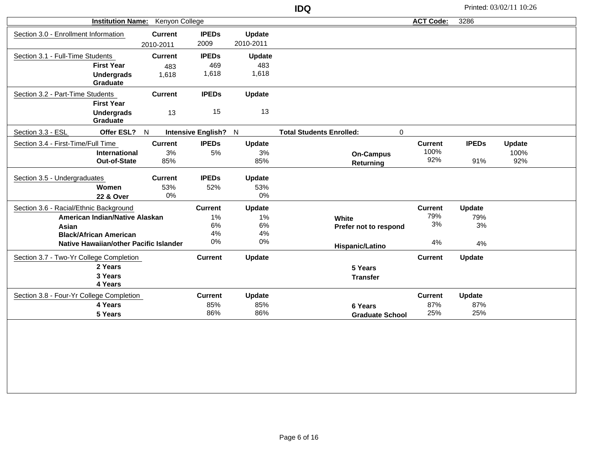| <b>Institution Name:</b>                 |                | <b>Kenyon College</b> |               |                                                | <b>ACT Code:</b> | 3286          |        |  |
|------------------------------------------|----------------|-----------------------|---------------|------------------------------------------------|------------------|---------------|--------|--|
| Section 3.0 - Enrollment Information     | <b>Current</b> | <b>IPEDs</b>          | Update        |                                                |                  |               |        |  |
|                                          | 2010-2011      | 2009                  | 2010-2011     |                                                |                  |               |        |  |
| Section 3.1 - Full-Time Students         | <b>Current</b> | <b>IPEDs</b>          | Update        |                                                |                  |               |        |  |
| <b>First Year</b>                        |                | 469<br>483            | 483           |                                                |                  |               |        |  |
| <b>Undergrads</b>                        |                | 1,618<br>1,618        | 1,618         |                                                |                  |               |        |  |
| Graduate                                 |                |                       |               |                                                |                  |               |        |  |
| Section 3.2 - Part-Time Students         | <b>Current</b> | <b>IPEDs</b>          | Update        |                                                |                  |               |        |  |
| <b>First Year</b>                        |                |                       |               |                                                |                  |               |        |  |
| <b>Undergrads</b>                        |                | 15<br>13              | 13            |                                                |                  |               |        |  |
| Graduate                                 |                |                       |               |                                                |                  |               |        |  |
| Section 3.3 - ESL                        | Offer ESL? N   | Intensive English? N  |               | <b>Total Students Enrolled:</b><br>$\mathbf 0$ |                  |               |        |  |
| Section 3.4 - First-Time/Full Time       | <b>Current</b> | <b>IPEDs</b>          | <b>Update</b> |                                                | <b>Current</b>   | <b>IPEDs</b>  | Update |  |
| International                            |                | 3%<br>5%              | 3%            | <b>On-Campus</b>                               | 100%             |               | 100%   |  |
| Out-of-State                             |                | 85%                   | 85%           | Returning                                      | 92%              | 91%           | 92%    |  |
| Section 3.5 - Undergraduates             | <b>Current</b> | <b>IPEDs</b>          | Update        |                                                |                  |               |        |  |
| Women                                    |                | 53%<br>52%            | 53%           |                                                |                  |               |        |  |
| 22 & Over                                |                | 0%                    | 0%            |                                                |                  |               |        |  |
| Section 3.6 - Racial/Ethnic Background   |                | <b>Current</b>        | Update        |                                                | <b>Current</b>   | <b>Update</b> |        |  |
| American Indian/Native Alaskan           |                | 1%                    | 1%            | White                                          | 79%              | 79%           |        |  |
| Asian                                    |                | $6\%$                 | $6\%$         | Prefer not to respond                          | 3%               | $3%$          |        |  |
| <b>Black/African American</b>            |                | 4%                    | 4%            |                                                |                  |               |        |  |
| Native Hawaiian/other Pacific Islander   |                | 0%                    | $0\%$         | Hispanic/Latino                                | 4%               | 4%            |        |  |
| Section 3.7 - Two-Yr College Completion  |                | <b>Current</b>        | Update        |                                                | <b>Current</b>   | Update        |        |  |
| 2 Years                                  |                |                       |               | 5 Years                                        |                  |               |        |  |
| 3 Years                                  |                |                       |               | <b>Transfer</b>                                |                  |               |        |  |
| 4 Years                                  |                |                       |               |                                                |                  |               |        |  |
| Section 3.8 - Four-Yr College Completion |                | <b>Current</b>        | Update        |                                                | <b>Current</b>   | Update        |        |  |
| 4 Years                                  |                | 85%                   | 85%           | 6 Years                                        | 87%              | 87%           |        |  |
| 5 Years                                  |                | 86%                   | 86%           | <b>Graduate School</b>                         | 25%              | 25%           |        |  |
|                                          |                |                       |               |                                                |                  |               |        |  |
|                                          |                |                       |               |                                                |                  |               |        |  |
|                                          |                |                       |               |                                                |                  |               |        |  |
|                                          |                |                       |               |                                                |                  |               |        |  |
|                                          |                |                       |               |                                                |                  |               |        |  |
|                                          |                |                       |               |                                                |                  |               |        |  |
|                                          |                |                       |               |                                                |                  |               |        |  |

**IDQ** Printed: 03/02/11 10:26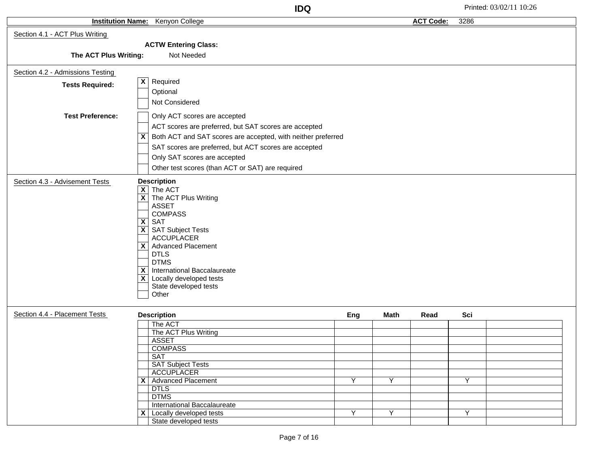|                                  |                                                                                                                                                                                                                                                                                                                                                                                  | <b>IDQ</b> |                |                  |      | Printed: 03/02/11 10:26 |
|----------------------------------|----------------------------------------------------------------------------------------------------------------------------------------------------------------------------------------------------------------------------------------------------------------------------------------------------------------------------------------------------------------------------------|------------|----------------|------------------|------|-------------------------|
|                                  | <b>Institution Name:</b> Kenyon College                                                                                                                                                                                                                                                                                                                                          |            |                | <b>ACT Code:</b> | 3286 |                         |
| Section 4.1 - ACT Plus Writing   |                                                                                                                                                                                                                                                                                                                                                                                  |            |                |                  |      |                         |
|                                  | <b>ACTW Entering Class:</b>                                                                                                                                                                                                                                                                                                                                                      |            |                |                  |      |                         |
| The ACT Plus Writing:            | Not Needed                                                                                                                                                                                                                                                                                                                                                                       |            |                |                  |      |                         |
| Section 4.2 - Admissions Testing |                                                                                                                                                                                                                                                                                                                                                                                  |            |                |                  |      |                         |
| <b>Tests Required:</b>           | $\overline{\mathbf{x}}$<br>Required                                                                                                                                                                                                                                                                                                                                              |            |                |                  |      |                         |
|                                  | Optional                                                                                                                                                                                                                                                                                                                                                                         |            |                |                  |      |                         |
|                                  | Not Considered                                                                                                                                                                                                                                                                                                                                                                   |            |                |                  |      |                         |
| <b>Test Preference:</b>          | Only ACT scores are accepted                                                                                                                                                                                                                                                                                                                                                     |            |                |                  |      |                         |
|                                  | ACT scores are preferred, but SAT scores are accepted                                                                                                                                                                                                                                                                                                                            |            |                |                  |      |                         |
|                                  | Both ACT and SAT scores are accepted, with neither preferred<br>$\mathsf{x}$                                                                                                                                                                                                                                                                                                     |            |                |                  |      |                         |
|                                  | SAT scores are preferred, but ACT scores are accepted                                                                                                                                                                                                                                                                                                                            |            |                |                  |      |                         |
|                                  | Only SAT scores are accepted                                                                                                                                                                                                                                                                                                                                                     |            |                |                  |      |                         |
|                                  | Other test scores (than ACT or SAT) are required                                                                                                                                                                                                                                                                                                                                 |            |                |                  |      |                         |
| Section 4.3 - Advisement Tests   | <b>Description</b>                                                                                                                                                                                                                                                                                                                                                               |            |                |                  |      |                         |
|                                  | $\overline{X}$ The ACT<br>$\overline{\mathbf{X}}$ The ACT Plus Writing<br><b>ASSET</b><br><b>COMPASS</b><br>$\overline{X}$ SAT<br>$\overline{\mathsf{x}}$ SAT Subject Tests<br><b>ACCUPLACER</b><br>X Advanced Placement<br><b>DTLS</b><br><b>DTMS</b><br>$\overline{X}$ International Baccalaureate<br>$\overline{X}$ Locally developed tests<br>State developed tests<br>Other |            |                |                  |      |                         |
| Section 4.4 - Placement Tests    | <b>Description</b>                                                                                                                                                                                                                                                                                                                                                               | Eng        | <b>Math</b>    | Read             | Sci  |                         |
|                                  | The ACT                                                                                                                                                                                                                                                                                                                                                                          |            |                |                  |      |                         |
|                                  | The ACT Plus Writing                                                                                                                                                                                                                                                                                                                                                             |            |                |                  |      |                         |
|                                  | <b>ASSET</b><br><b>COMPASS</b>                                                                                                                                                                                                                                                                                                                                                   |            |                |                  |      |                         |
|                                  | <b>SAT</b>                                                                                                                                                                                                                                                                                                                                                                       |            |                |                  |      |                         |
|                                  | <b>SAT Subject Tests</b>                                                                                                                                                                                                                                                                                                                                                         |            |                |                  |      |                         |
|                                  | <b>ACCUPLACER</b>                                                                                                                                                                                                                                                                                                                                                                |            |                |                  |      |                         |
|                                  | X   Advanced Placement                                                                                                                                                                                                                                                                                                                                                           | Y          | Y              |                  | Y    |                         |
|                                  | <b>DTLS</b><br><b>DTMS</b>                                                                                                                                                                                                                                                                                                                                                       |            |                |                  |      |                         |
|                                  | International Baccalaureate                                                                                                                                                                                                                                                                                                                                                      |            |                |                  |      |                         |
|                                  | $\mathsf{X}$ Locally developed tests                                                                                                                                                                                                                                                                                                                                             | Y          | $\overline{Y}$ |                  | Y    |                         |
|                                  | State developed tests                                                                                                                                                                                                                                                                                                                                                            |            |                |                  |      |                         |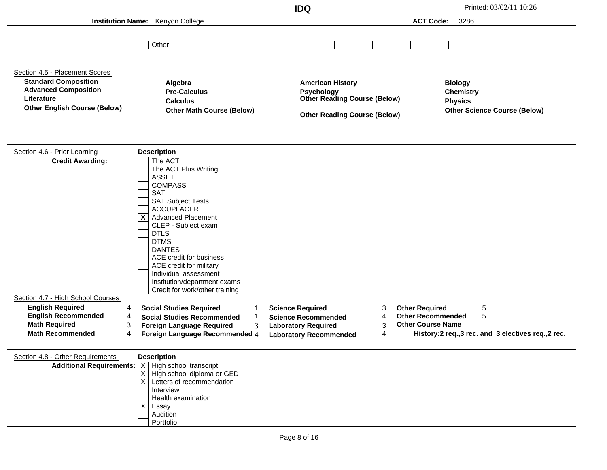**IDQ** Printed: 03/02/11 10:26 **Institution Name:** Kenyon College **Other** Section 4.5 - Placement Scores **Standard Composition Advanced Composition Literature Other English Course (Below) Algebra Pre-Calculus Calculus Other Math Course (Below) American History Psychology Other Reading Course (Below) Other Reading Course (Below) Biology Chemistry Physics Other Science Course (Below)** Section 4.6 - Prior Learning The ACT The ACT Plus Writing ASSET **COMPASS** SAT SAT Subject Tests ACCUPLACER **X** | Advanced Placement CLEP - Subject exam DTLS DTMS **DANTES** ACE credit for business ACE credit for military Individual assessment Institution/department exams Credit for work/other training **Credit Awarding: Description** Section 4.7 - High School Courses 4 4 **English Required English Recommended** 3 4 **Foreign Language Recommended** 4 **Laboratory Recommended Foreign Language Required** 3 4 **Science Required** 1 **Science Recommended Social Studies Required** 1 **Social Studies Recommended** 3 4 **Laboratory Required Math Required** 3 **Math Recommended** 5 5 **History:2 req.,3 rec. and 3 electives req.,2 rec. Other Required Other Recommended Other Course Name** Section 4.8 - Other Requirements **Additional Requirements:** | X | High school transcript X | High school diploma or GED X | Letters of recommendation Interview Health examination Essay Audition Portfolio **Description ACT Code:** 3286 X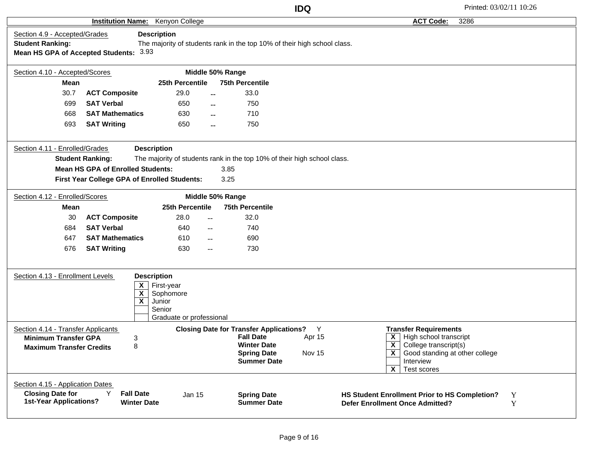|                                                                                                      |                                                                                          |                                                                                               |                                                                                                                                      | <b>IDQ</b>            |                                                                                                                                                                                                                                                        | Printed: 03/02/11 10:26 |
|------------------------------------------------------------------------------------------------------|------------------------------------------------------------------------------------------|-----------------------------------------------------------------------------------------------|--------------------------------------------------------------------------------------------------------------------------------------|-----------------------|--------------------------------------------------------------------------------------------------------------------------------------------------------------------------------------------------------------------------------------------------------|-------------------------|
|                                                                                                      | <b>Institution Name:</b>                                                                 | Kenyon College                                                                                |                                                                                                                                      |                       | <b>ACT Code:</b>                                                                                                                                                                                                                                       | 3286                    |
| Section 4.9 - Accepted/Grades<br><b>Student Ranking:</b>                                             | Mean HS GPA of Accepted Students: 3.93                                                   | <b>Description</b>                                                                            | The majority of students rank in the top 10% of their high school class.                                                             |                       |                                                                                                                                                                                                                                                        |                         |
| Section 4.10 - Accepted/Scores                                                                       |                                                                                          |                                                                                               | Middle 50% Range                                                                                                                     |                       |                                                                                                                                                                                                                                                        |                         |
| <b>Mean</b>                                                                                          |                                                                                          | 25th Percentile                                                                               | <b>75th Percentile</b>                                                                                                               |                       |                                                                                                                                                                                                                                                        |                         |
| 30.7                                                                                                 | <b>ACT Composite</b>                                                                     | 29.0                                                                                          | 33.0<br>$-$                                                                                                                          |                       |                                                                                                                                                                                                                                                        |                         |
| 699                                                                                                  | <b>SAT Verbal</b>                                                                        | 650                                                                                           | 750<br>$\sim$                                                                                                                        |                       |                                                                                                                                                                                                                                                        |                         |
| 668                                                                                                  | <b>SAT Mathematics</b>                                                                   | 630                                                                                           | 710<br>$\sim$                                                                                                                        |                       |                                                                                                                                                                                                                                                        |                         |
| 693                                                                                                  | <b>SAT Writing</b>                                                                       | 650                                                                                           | 750                                                                                                                                  |                       |                                                                                                                                                                                                                                                        |                         |
| Section 4.11 - Enrolled/Grades                                                                       | <b>Student Ranking:</b>                                                                  | <b>Description</b>                                                                            | The majority of students rank in the top 10% of their high school class.                                                             |                       |                                                                                                                                                                                                                                                        |                         |
|                                                                                                      | <b>Mean HS GPA of Enrolled Students:</b><br>First Year College GPA of Enrolled Students: |                                                                                               | 3.85<br>3.25                                                                                                                         |                       |                                                                                                                                                                                                                                                        |                         |
| Section 4.12 - Enrolled/Scores                                                                       |                                                                                          |                                                                                               | Middle 50% Range                                                                                                                     |                       |                                                                                                                                                                                                                                                        |                         |
| Mean                                                                                                 |                                                                                          | 25th Percentile                                                                               | <b>75th Percentile</b>                                                                                                               |                       |                                                                                                                                                                                                                                                        |                         |
| 30                                                                                                   | <b>ACT Composite</b>                                                                     | 28.0                                                                                          | 32.0<br>$\overline{a}$                                                                                                               |                       |                                                                                                                                                                                                                                                        |                         |
| 684                                                                                                  | <b>SAT Verbal</b>                                                                        | 640                                                                                           | 740<br>$- -$                                                                                                                         |                       |                                                                                                                                                                                                                                                        |                         |
| 647                                                                                                  | <b>SAT Mathematics</b>                                                                   | 610                                                                                           | 690<br>$- -$                                                                                                                         |                       |                                                                                                                                                                                                                                                        |                         |
| 676                                                                                                  | <b>SAT Writing</b>                                                                       | 630                                                                                           | 730<br>$- -$                                                                                                                         |                       |                                                                                                                                                                                                                                                        |                         |
| Section 4.13 - Enrollment Levels                                                                     | X<br>$\overline{\mathbf{X}}$<br>$\overline{\mathbf{x}}$                                  | <b>Description</b><br>First-year<br>Sophomore<br>Junior<br>Senior<br>Graduate or professional |                                                                                                                                      |                       |                                                                                                                                                                                                                                                        |                         |
| Section 4.14 - Transfer Applicants<br><b>Minimum Transfer GPA</b><br><b>Maximum Transfer Credits</b> | 3<br>8                                                                                   |                                                                                               | <b>Closing Date for Transfer Applications?</b><br><b>Fall Date</b><br><b>Winter Date</b><br><b>Spring Date</b><br><b>Summer Date</b> | Y<br>Apr 15<br>Nov 15 | <b>Transfer Requirements</b><br>$\overline{\mathsf{X}}$ High school transcript<br>$\overline{\mathsf{x}}$<br>College transcript(s)<br>$\overline{\mathsf{x}}$<br>Good standing at other college<br>Interview<br>$\overline{\mathbf{x}}$<br>Test scores |                         |
| Section 4.15 - Application Dates<br><b>Closing Date for</b><br><b>1st-Year Applications?</b>         | Y<br><b>Fall Date</b><br><b>Winter Date</b>                                              | Jan 15                                                                                        | <b>Spring Date</b><br><b>Summer Date</b>                                                                                             |                       | HS Student Enrollment Prior to HS Completion?<br><b>Defer Enrollment Once Admitted?</b>                                                                                                                                                                | Y<br>Y                  |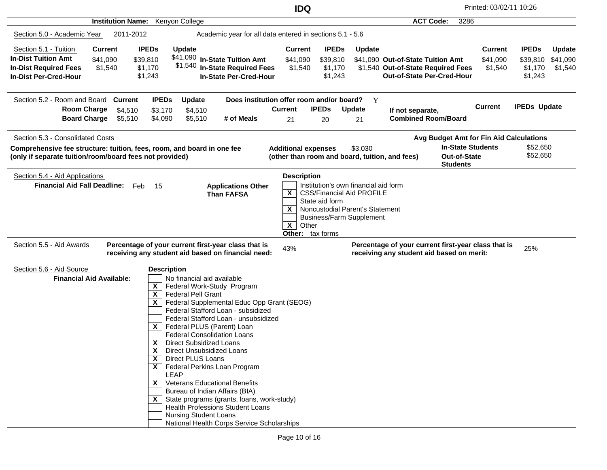| <b>Institution Name:</b>                                                                                                                                                                                                                                                                                                                                                                                                                                                                                                                                                                                                                                               | Kenyon College                                                                                                                                                                                                                                                                                                                                                                                                                                                                                                                                                                                                                                                                                                                                                                                                                         |                                                                                         |                                                                 | <b>ACT Code:</b><br>3286                                                                                      |                                       |                                                |                                      |
|------------------------------------------------------------------------------------------------------------------------------------------------------------------------------------------------------------------------------------------------------------------------------------------------------------------------------------------------------------------------------------------------------------------------------------------------------------------------------------------------------------------------------------------------------------------------------------------------------------------------------------------------------------------------|----------------------------------------------------------------------------------------------------------------------------------------------------------------------------------------------------------------------------------------------------------------------------------------------------------------------------------------------------------------------------------------------------------------------------------------------------------------------------------------------------------------------------------------------------------------------------------------------------------------------------------------------------------------------------------------------------------------------------------------------------------------------------------------------------------------------------------------|-----------------------------------------------------------------------------------------|-----------------------------------------------------------------|---------------------------------------------------------------------------------------------------------------|---------------------------------------|------------------------------------------------|--------------------------------------|
| Section 5.0 - Academic Year<br>2011-2012                                                                                                                                                                                                                                                                                                                                                                                                                                                                                                                                                                                                                               | Academic year for all data entered in sections 5.1 - 5.6                                                                                                                                                                                                                                                                                                                                                                                                                                                                                                                                                                                                                                                                                                                                                                               |                                                                                         |                                                                 |                                                                                                               |                                       |                                                |                                      |
| Section 5.1 - Tuition<br><b>Current</b><br><b>In-Dist Tuition Amt</b><br>\$41,090<br><b>In-Dist Required Fees</b><br>\$1,540<br><b>In-Dist Per-Cred-Hour</b>                                                                                                                                                                                                                                                                                                                                                                                                                                                                                                           | <b>IPEDs</b><br>Update<br>\$41,090 In-State Tuition Amt<br>\$39,810<br>\$1,540 In-State Required Fees<br>\$1,170<br>\$1,243<br><b>In-State Per-Cred-Hour</b>                                                                                                                                                                                                                                                                                                                                                                                                                                                                                                                                                                                                                                                                           | <b>Current</b><br>\$41,090<br>\$1,540                                                   | <b>IPEDs</b><br><b>Update</b><br>\$39,810<br>\$1,170<br>\$1,243 | \$41.090 Out-of-State Tuition Amt<br>\$1,540 Out-of-State Required Fees<br><b>Out-of-State Per-Cred-Hour</b>  | <b>Current</b><br>\$41,090<br>\$1,540 | <b>IPEDs</b><br>\$39,810<br>\$1,170<br>\$1,243 | <b>Update</b><br>\$41,090<br>\$1,540 |
| Section 5.2 - Room and Board Current<br><b>Room Charge</b><br>\$4,510<br><b>Board Charge</b><br>\$5,510                                                                                                                                                                                                                                                                                                                                                                                                                                                                                                                                                                | <b>IPEDs</b><br>Update<br>\$3,170<br>\$4,510<br>\$5,510<br># of Meals<br>\$4,090                                                                                                                                                                                                                                                                                                                                                                                                                                                                                                                                                                                                                                                                                                                                                       | Does institution offer room and/or board?<br><b>IPEDs</b><br><b>Current</b><br>21<br>20 | $\mathbf{Y}$<br><b>Update</b><br>21                             | If not separate,<br><b>Combined Room/Board</b>                                                                | <b>Current</b>                        | <b>IPEDs Update</b>                            |                                      |
| Section 5.3 - Consolidated Costs<br>Comprehensive fee structure: tuition, fees, room, and board in one fee<br>(only if separate tuition/room/board fees not provided)                                                                                                                                                                                                                                                                                                                                                                                                                                                                                                  |                                                                                                                                                                                                                                                                                                                                                                                                                                                                                                                                                                                                                                                                                                                                                                                                                                        | <b>Additional expenses</b><br>(other than room and board, tuition, and fees)            | \$3,030                                                         | Avg Budget Amt for Fin Aid Calculations<br><b>In-State Students</b><br><b>Out-of-State</b><br><b>Students</b> |                                       | \$52,650<br>\$52,650                           |                                      |
| <b>Description</b><br>Section 5.4 - Aid Applications<br><b>Financial Aid Fall Deadline:</b><br>Institution's own financial aid form<br>Feb<br>15<br><b>Applications Other</b><br>$\mathsf{x}$<br><b>CSS/Financial Aid PROFILE</b><br><b>Than FAFSA</b><br>State aid form<br>Noncustodial Parent's Statement<br>$\mathsf{x}$<br><b>Business/Farm Supplement</b><br>$\mathsf{X}$<br>Other<br>Other: tax forms<br>Percentage of your current first-year class that is<br>Percentage of your current first-year class that is<br>Section 5.5 - Aid Awards<br>43%<br>25%<br>receiving any student aid based on financial need:<br>receiving any student aid based on merit: |                                                                                                                                                                                                                                                                                                                                                                                                                                                                                                                                                                                                                                                                                                                                                                                                                                        |                                                                                         |                                                                 |                                                                                                               |                                       |                                                |                                      |
| Section 5.6 - Aid Source<br><b>Financial Aid Available:</b>                                                                                                                                                                                                                                                                                                                                                                                                                                                                                                                                                                                                            | <b>Description</b><br>No financial aid available<br>X<br>Federal Work-Study Program<br>$\boldsymbol{\mathsf{x}}$<br><b>Federal Pell Grant</b><br>$\mathsf{x}$<br>Federal Supplemental Educ Opp Grant (SEOG)<br>Federal Stafford Loan - subsidized<br>Federal Stafford Loan - unsubsidized<br>Federal PLUS (Parent) Loan<br>$\mathsf{X}$<br><b>Federal Consolidation Loans</b><br>X<br><b>Direct Subsidized Loans</b><br>$\boldsymbol{\mathsf{X}}$<br>Direct Unsubsidized Loans<br>$\overline{\mathbf{X}}$ Direct PLUS Loans<br>$X$   Federal Perkins Loan Program<br><b>LEAP</b><br>$X$   Veterans Educational Benefits<br>Bureau of Indian Affairs (BIA)<br>$\mathsf{X}$ State programs (grants, loans, work-study)<br>Health Professions Student Loans<br><b>Nursing Student Loans</b><br>National Health Corps Service Scholarships |                                                                                         |                                                                 |                                                                                                               |                                       |                                                |                                      |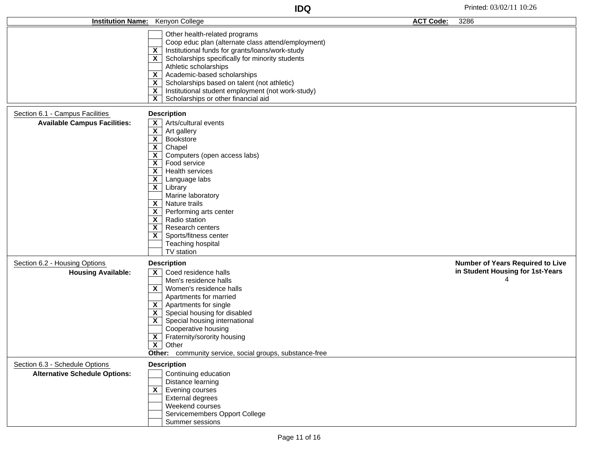| <b>Institution Name:</b>                                               | Kenyon College                                                                                                                                                                                                                                                                                                                                                                                                                                                                                                                                                                                       | <b>ACT Code:</b> | 3286                                    |
|------------------------------------------------------------------------|------------------------------------------------------------------------------------------------------------------------------------------------------------------------------------------------------------------------------------------------------------------------------------------------------------------------------------------------------------------------------------------------------------------------------------------------------------------------------------------------------------------------------------------------------------------------------------------------------|------------------|-----------------------------------------|
|                                                                        | Other health-related programs<br>Coop educ plan (alternate class attend/employment)<br>$\overline{X}$ Institutional funds for grants/loans/work-study<br>$\overline{\mathsf{X}}$ Scholarships specifically for minority students<br>Athletic scholarships<br>$\overline{\mathsf{x}}$ Academic-based scholarships<br>$\overline{X}$ Scholarships based on talent (not athletic)<br>$\overline{\mathsf{x}}$<br>Institutional student employment (not work-study)<br>$\overline{\mathbf{x}}$<br>Scholarships or other financial aid                                                                     |                  |                                         |
| Section 6.1 - Campus Facilities                                        | <b>Description</b>                                                                                                                                                                                                                                                                                                                                                                                                                                                                                                                                                                                   |                  |                                         |
| <b>Available Campus Facilities:</b>                                    | $\overline{\mathsf{x}}$ Arts/cultural events<br>$\overline{\mathbf{x}}$<br>Art gallery<br>$\overline{\mathsf{X}}$ Bookstore<br>$\overline{\mathbf{x}}$<br>Chapel<br>$\mathsf{X}$ Computers (open access labs)<br>$X$ Food service<br>$\overline{\mathsf{x}}$ Health services<br>$X \mid$ Language labs<br>$\overline{\mathsf{x}}$ Library<br>Marine laboratory<br>$\mathsf{X}$ Nature trails<br>$\overline{\mathsf{X}}$ Performing arts center<br>$\mathsf{X}$ Radio station<br>$\mathsf{X}$<br>Research centers<br>$\overline{\mathsf{x}}$ Sports/fitness center<br>Teaching hospital<br>TV station |                  |                                         |
| Section 6.2 - Housing Options                                          | <b>Description</b>                                                                                                                                                                                                                                                                                                                                                                                                                                                                                                                                                                                   |                  | <b>Number of Years Required to Live</b> |
| <b>Housing Available:</b>                                              | $\mathsf{X}$ Coed residence halls<br>Men's residence halls<br>$X$   Women's residence halls<br>Apartments for married<br>$\mathsf{X}$   Apartments for single<br>$\overline{\mathsf{x}}$ Special housing for disabled<br>$\overline{\mathsf{x}}$ Special housing international<br>Cooperative housing<br>$\overline{\mathsf{x}}$ Fraternity/sorority housing<br>$\overline{\mathsf{x}}$<br>Other<br>Other: community service, social groups, substance-free                                                                                                                                          |                  | in Student Housing for 1st-Years<br>4   |
| Section 6.3 - Schedule Options<br><b>Alternative Schedule Options:</b> | <b>Description</b><br>Continuing education<br>Distance learning<br>$\overline{\mathsf{X}}$ Evening courses<br>External degrees<br>Weekend courses<br>Servicemembers Opport College<br>Summer sessions                                                                                                                                                                                                                                                                                                                                                                                                |                  |                                         |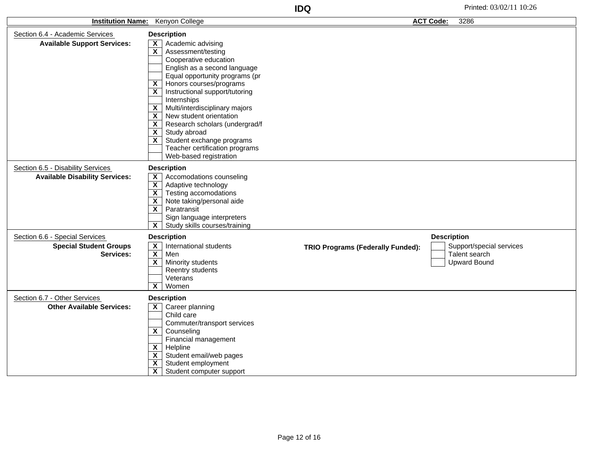| <b>Institution Name:</b><br>Kenyon College                                   |                                                                                                                                                                                                                                                                                                                                                                                                                                                                                                                                                                                                                      | <b>ACT Code:</b><br>3286                 |                    |                                                                  |
|------------------------------------------------------------------------------|----------------------------------------------------------------------------------------------------------------------------------------------------------------------------------------------------------------------------------------------------------------------------------------------------------------------------------------------------------------------------------------------------------------------------------------------------------------------------------------------------------------------------------------------------------------------------------------------------------------------|------------------------------------------|--------------------|------------------------------------------------------------------|
| Section 6.4 - Academic Services<br><b>Available Support Services:</b>        | <b>Description</b><br>Academic advising<br>$\mathsf{x}$<br>X<br>Assessment/testing<br>Cooperative education<br>English as a second language<br>Equal opportunity programs (pr<br>Honors courses/programs<br>$\boldsymbol{\mathsf{x}}$<br>Instructional support/tutoring<br>$\mathsf{x}$<br>Internships<br>Multi/interdisciplinary majors<br>$\mathsf{x}$<br>$\mathsf{x}$<br>New student orientation<br>$\overline{\mathbf{x}}$<br>Research scholars (undergrad/f<br>Study abroad<br>$\mathsf{x}$<br>$\overline{\mathbf{x}}$<br>Student exchange programs<br>Teacher certification programs<br>Web-based registration |                                          |                    |                                                                  |
| Section 6.5 - Disability Services<br><b>Available Disability Services:</b>   | <b>Description</b><br>$\mathbf{x}$<br>Accomodations counseling<br>$\overline{\mathbf{x}}$<br>Adaptive technology<br>$\overline{\mathbf{X}}$<br>Testing accomodations<br>Note taking/personal aide<br>$\mathbf{x}$<br>$\overline{\mathbf{x}}$<br>Paratransit<br>Sign language interpreters<br>$\overline{\mathbf{x}}$<br>Study skills courses/training                                                                                                                                                                                                                                                                |                                          |                    |                                                                  |
| Section 6.6 - Special Services<br><b>Special Student Groups</b><br>Services: | <b>Description</b><br>$\mathsf{x}$<br>International students<br>$\overline{\mathbf{X}}$<br>Men<br>$\overline{\mathbf{x}}$<br>Minority students<br>Reentry students<br>Veterans<br>$\mathbf{x}$<br>Women                                                                                                                                                                                                                                                                                                                                                                                                              | <b>TRIO Programs (Federally Funded):</b> | <b>Description</b> | Support/special services<br>Talent search<br><b>Upward Bound</b> |
| Section 6.7 - Other Services<br><b>Other Available Services:</b>             | <b>Description</b><br>Career planning<br>$\mathsf{x}$<br>Child care<br>Commuter/transport services<br>$\overline{\mathbf{x}}$<br>Counseling<br>Financial management<br>Helpline<br>$\overline{\mathbf{x}}$<br>Student email/web pages<br>$\mathsf{x}$<br>X<br>Student employment<br>X<br>Student computer support                                                                                                                                                                                                                                                                                                    |                                          |                    |                                                                  |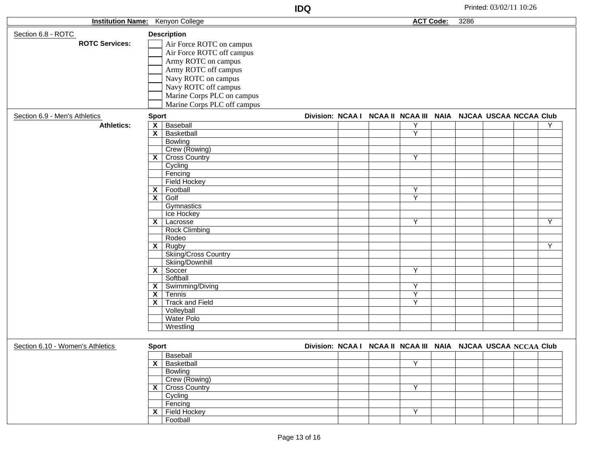| חחו<br>טעו |                        | Printe<br>Zh |
|------------|------------------------|--------------|
|            | ີ <b>ົ</b> າde:<br>AU. | 3286         |
|            |                        |              |

|                                  | <b>Institution Name:</b> Kenyon College |                                                               |  | <b>ACT Code:</b>        | 3286 |  |   |
|----------------------------------|-----------------------------------------|---------------------------------------------------------------|--|-------------------------|------|--|---|
| Section 6.8 - ROTC               | <b>Description</b>                      |                                                               |  |                         |      |  |   |
|                                  |                                         |                                                               |  |                         |      |  |   |
| <b>ROTC Services:</b>            | Air Force ROTC on campus                |                                                               |  |                         |      |  |   |
|                                  | Air Force ROTC off campus               |                                                               |  |                         |      |  |   |
|                                  | Army ROTC on campus                     |                                                               |  |                         |      |  |   |
|                                  | Army ROTC off campus                    |                                                               |  |                         |      |  |   |
|                                  | Navy ROTC on campus                     |                                                               |  |                         |      |  |   |
|                                  | Navy ROTC off campus                    |                                                               |  |                         |      |  |   |
|                                  | Marine Corps PLC on campus              |                                                               |  |                         |      |  |   |
|                                  | Marine Corps PLC off campus             |                                                               |  |                         |      |  |   |
|                                  |                                         |                                                               |  |                         |      |  |   |
| Section 6.9 - Men's Athletics    | <b>Sport</b>                            | Division: NCAA I NCAA II NCAA III NAIA NJCAA USCAA NCCAA Club |  |                         |      |  |   |
| <b>Athletics:</b>                | Baseball<br>$\overline{\mathbf{x}}$     |                                                               |  | Υ                       |      |  | Y |
|                                  | X<br>Basketball                         |                                                               |  | Y                       |      |  |   |
|                                  | Bowling                                 |                                                               |  |                         |      |  |   |
|                                  | Crew (Rowing)                           |                                                               |  |                         |      |  |   |
|                                  | $\overline{\mathsf{X}}$ Cross Country   |                                                               |  | Υ                       |      |  |   |
|                                  | Cycling                                 |                                                               |  |                         |      |  |   |
|                                  | Fencing                                 |                                                               |  |                         |      |  |   |
|                                  | <b>Field Hockey</b>                     |                                                               |  |                         |      |  |   |
|                                  | Football<br>$\overline{\mathbf{x}}$     |                                                               |  | Υ                       |      |  |   |
|                                  | $\overline{\mathbf{x}}$<br>Golf         |                                                               |  | Y                       |      |  |   |
|                                  | Gymnastics                              |                                                               |  |                         |      |  |   |
|                                  | Ice Hockey                              |                                                               |  |                         |      |  |   |
|                                  | $\overline{\mathsf{X}}$ Lacrosse        |                                                               |  | Υ                       |      |  | Y |
|                                  | <b>Rock Climbing</b>                    |                                                               |  |                         |      |  |   |
|                                  | Rodeo                                   |                                                               |  |                         |      |  |   |
|                                  | $\mathsf{X}$ Rugby                      |                                                               |  |                         |      |  | Y |
|                                  | <b>Skiing/Cross Country</b>             |                                                               |  |                         |      |  |   |
|                                  | Skiing/Downhill                         |                                                               |  |                         |      |  |   |
|                                  | $X$ Soccer                              |                                                               |  | Y                       |      |  |   |
|                                  | Softball                                |                                                               |  |                         |      |  |   |
|                                  | X   Swimming/Diving                     |                                                               |  | Υ                       |      |  |   |
|                                  | Tennis<br>$\overline{\mathbf{x}}$       |                                                               |  | Y                       |      |  |   |
|                                  | <b>Track and Field</b><br>X             |                                                               |  | $\overline{Y}$          |      |  |   |
|                                  | Volleyball                              |                                                               |  |                         |      |  |   |
|                                  | <b>Water Polo</b>                       |                                                               |  |                         |      |  |   |
|                                  | Wrestling                               |                                                               |  |                         |      |  |   |
|                                  |                                         |                                                               |  |                         |      |  |   |
| Section 6.10 - Women's Athletics | <b>Sport</b>                            | Division: NCAA I NCAA II NCAA III NAIA NJCAA USCAA NCCAA Club |  |                         |      |  |   |
|                                  |                                         |                                                               |  |                         |      |  |   |
|                                  | Baseball                                |                                                               |  |                         |      |  |   |
|                                  | $\overline{\mathsf{x}}$ Basketball      |                                                               |  | Y                       |      |  |   |
|                                  | Bowling                                 |                                                               |  |                         |      |  |   |
|                                  | Crew (Rowing)                           |                                                               |  |                         |      |  |   |
|                                  | X Cross Country                         |                                                               |  | $\overline{\mathsf{Y}}$ |      |  |   |
|                                  | Cycling                                 |                                                               |  |                         |      |  |   |
|                                  | Fencing                                 |                                                               |  |                         |      |  |   |
|                                  | $X$ Field Hockey                        |                                                               |  | $\overline{Y}$          |      |  |   |
|                                  | Football                                |                                                               |  |                         |      |  |   |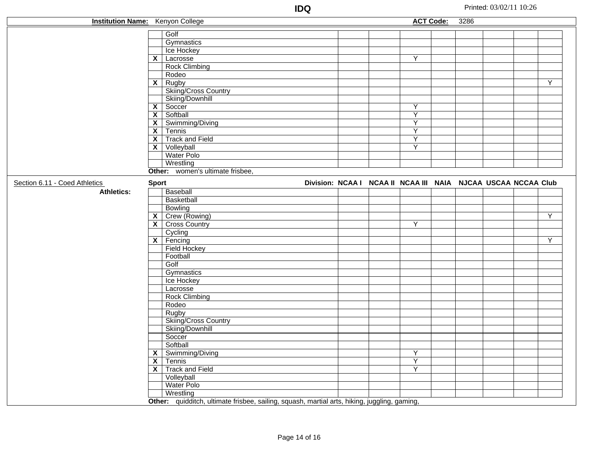| <b>Institution Name:</b> Kenyon College |                         |                                                                                              |                                                               |                         | <b>ACT Code:</b> | 3286 |  |   |
|-----------------------------------------|-------------------------|----------------------------------------------------------------------------------------------|---------------------------------------------------------------|-------------------------|------------------|------|--|---|
|                                         |                         | Golf                                                                                         |                                                               |                         |                  |      |  |   |
|                                         |                         |                                                                                              |                                                               |                         |                  |      |  |   |
|                                         |                         | Gymnastics                                                                                   |                                                               |                         |                  |      |  |   |
|                                         |                         | Ice Hockey                                                                                   |                                                               |                         |                  |      |  |   |
|                                         | $\overline{\mathbf{x}}$ | Lacrosse                                                                                     |                                                               | Υ                       |                  |      |  |   |
|                                         |                         | <b>Rock Climbing</b>                                                                         |                                                               |                         |                  |      |  |   |
|                                         |                         | Rodeo                                                                                        |                                                               |                         |                  |      |  |   |
|                                         | $\overline{\mathsf{x}}$ | Rugby                                                                                        |                                                               |                         |                  |      |  | ٧ |
|                                         |                         | Skiing/Cross Country                                                                         |                                                               |                         |                  |      |  |   |
|                                         |                         | Skiing/Downhill                                                                              |                                                               |                         |                  |      |  |   |
|                                         | $\overline{\mathbf{x}}$ | Soccer                                                                                       |                                                               | Ÿ                       |                  |      |  |   |
|                                         | $\overline{\mathbf{x}}$ | Softball                                                                                     |                                                               | $\overline{\mathsf{Y}}$ |                  |      |  |   |
|                                         | $\overline{\mathbf{x}}$ | Swimming/Diving                                                                              |                                                               | $\overline{\mathsf{Y}}$ |                  |      |  |   |
|                                         | X                       | Tennis                                                                                       |                                                               | $\overline{Y}$          |                  |      |  |   |
|                                         | $\mathsf{x}$            | <b>Track and Field</b>                                                                       |                                                               | $\overline{Y}$          |                  |      |  |   |
|                                         | X.                      | Volleyball                                                                                   |                                                               | $\overline{Y}$          |                  |      |  |   |
|                                         |                         | <b>Water Polo</b>                                                                            |                                                               |                         |                  |      |  |   |
|                                         |                         | Wrestling                                                                                    |                                                               |                         |                  |      |  |   |
|                                         |                         | Other: women's ultimate frisbee,                                                             |                                                               |                         |                  |      |  |   |
| Section 6.11 - Coed Athletics           | <b>Sport</b>            |                                                                                              | Division: NCAA I NCAA II NCAA III NAIA NJCAA USCAA NCCAA Club |                         |                  |      |  |   |
| <b>Athletics:</b>                       |                         | Baseball                                                                                     |                                                               |                         |                  |      |  |   |
|                                         |                         | Basketball                                                                                   |                                                               |                         |                  |      |  |   |
|                                         |                         | Bowling                                                                                      |                                                               |                         |                  |      |  |   |
|                                         | $\mathsf{x}$            | Crew (Rowing)                                                                                |                                                               |                         |                  |      |  | Y |
|                                         | $\mathsf{x}$            | <b>Cross Country</b>                                                                         |                                                               | Υ                       |                  |      |  |   |
|                                         |                         | Cycling                                                                                      |                                                               |                         |                  |      |  |   |
|                                         | $\vert x \vert$         | Fencing                                                                                      |                                                               |                         |                  |      |  | Υ |
|                                         |                         | Field Hockey                                                                                 |                                                               |                         |                  |      |  |   |
|                                         |                         | Football                                                                                     |                                                               |                         |                  |      |  |   |
|                                         |                         | Golf                                                                                         |                                                               |                         |                  |      |  |   |
|                                         |                         | Gymnastics                                                                                   |                                                               |                         |                  |      |  |   |
|                                         |                         | Ice Hockey                                                                                   |                                                               |                         |                  |      |  |   |
|                                         |                         | Lacrosse                                                                                     |                                                               |                         |                  |      |  |   |
|                                         |                         | <b>Rock Climbing</b>                                                                         |                                                               |                         |                  |      |  |   |
|                                         |                         | Rodeo                                                                                        |                                                               |                         |                  |      |  |   |
|                                         |                         | Rugby                                                                                        |                                                               |                         |                  |      |  |   |
|                                         |                         | Skiing/Cross Country                                                                         |                                                               |                         |                  |      |  |   |
|                                         |                         | Skiing/Downhill                                                                              |                                                               |                         |                  |      |  |   |
|                                         |                         | Soccer                                                                                       |                                                               |                         |                  |      |  |   |
|                                         |                         | Softball                                                                                     |                                                               |                         |                  |      |  |   |
|                                         | $\overline{\mathbf{x}}$ | Swimming/Diving                                                                              |                                                               | Υ                       |                  |      |  |   |
|                                         | $\overline{\mathbf{x}}$ | Tennis                                                                                       |                                                               | Υ                       |                  |      |  |   |
|                                         | X                       | <b>Track and Field</b>                                                                       |                                                               | Y                       |                  |      |  |   |
|                                         |                         |                                                                                              |                                                               |                         |                  |      |  |   |
|                                         |                         | Volleyball                                                                                   |                                                               |                         |                  |      |  |   |
|                                         |                         | Water Polo                                                                                   |                                                               |                         |                  |      |  |   |
|                                         |                         | Wrestling                                                                                    |                                                               |                         |                  |      |  |   |
|                                         |                         | Other: quidditch, ultimate frisbee, sailing, squash, martial arts, hiking, juggling, gaming, |                                                               |                         |                  |      |  |   |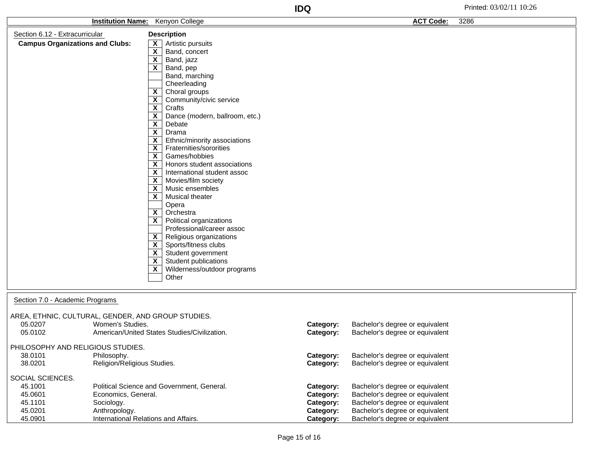|                                                    | <b>Institution Name:</b> Kenyon College |                                              |           | <b>ACT Code:</b>                | 3286 |
|----------------------------------------------------|-----------------------------------------|----------------------------------------------|-----------|---------------------------------|------|
| Section 6.12 - Extracurricular                     |                                         | <b>Description</b>                           |           |                                 |      |
| <b>Campus Organizations and Clubs:</b>             | X                                       | Artistic pursuits                            |           |                                 |      |
|                                                    | $\overline{\mathbf{x}}$                 | Band, concert                                |           |                                 |      |
|                                                    | $\overline{\mathbf{x}}$                 | Band, jazz                                   |           |                                 |      |
|                                                    | $\overline{\mathbf{x}}$                 | Band, pep                                    |           |                                 |      |
|                                                    |                                         | Band, marching                               |           |                                 |      |
|                                                    |                                         | Cheerleading                                 |           |                                 |      |
|                                                    | $\mathsf{x}$                            | Choral groups                                |           |                                 |      |
|                                                    | $\overline{\mathbf{x}}$                 | Community/civic service                      |           |                                 |      |
|                                                    | $\overline{\mathbf{x}}$                 | Crafts                                       |           |                                 |      |
|                                                    | $\overline{\mathbf{x}}$                 | Dance (modern, ballroom, etc.)               |           |                                 |      |
|                                                    | $\overline{\mathbf{x}}$                 | Debate                                       |           |                                 |      |
|                                                    | $\overline{\mathbf{x}}$                 | Drama                                        |           |                                 |      |
|                                                    | X                                       | Ethnic/minority associations                 |           |                                 |      |
|                                                    | $\boldsymbol{\mathsf{x}}$               | Fraternities/sororities                      |           |                                 |      |
|                                                    | $\overline{\mathbf{x}}$                 | Games/hobbies                                |           |                                 |      |
|                                                    | $\overline{\mathbf{x}}$                 | Honors student associations                  |           |                                 |      |
|                                                    | $\mathsf{x}$                            | International student assoc                  |           |                                 |      |
|                                                    | $\mathsf{x}$<br>$\mathsf{x}$            | Movies/film society<br>Music ensembles       |           |                                 |      |
|                                                    | $\overline{\mathbf{x}}$                 | <b>Musical theater</b>                       |           |                                 |      |
|                                                    |                                         | Opera                                        |           |                                 |      |
|                                                    | $\mathsf{x}$                            | Orchestra                                    |           |                                 |      |
|                                                    | $\overline{\mathbf{x}}$                 | Political organizations                      |           |                                 |      |
|                                                    |                                         | Professional/career assoc                    |           |                                 |      |
|                                                    | $\mathsf{X}$                            | Religious organizations                      |           |                                 |      |
|                                                    | $\mathsf{X}$                            | Sports/fitness clubs                         |           |                                 |      |
|                                                    | $\mathsf{x}$                            | Student government                           |           |                                 |      |
|                                                    | $\mathbf{x}$                            | Student publications                         |           |                                 |      |
|                                                    | $\boldsymbol{\mathsf{X}}$               | Wilderness/outdoor programs                  |           |                                 |      |
|                                                    |                                         | Other                                        |           |                                 |      |
|                                                    |                                         |                                              |           |                                 |      |
|                                                    |                                         |                                              |           |                                 |      |
| Section 7.0 - Academic Programs                    |                                         |                                              |           |                                 |      |
| AREA, ETHNIC, CULTURAL, GENDER, AND GROUP STUDIES. |                                         |                                              |           |                                 |      |
| Women's Studies.<br>05.0207                        |                                         |                                              | Category: | Bachelor's degree or equivalent |      |
| 05.0102                                            |                                         | American/United States Studies/Civilization. | Category: | Bachelor's degree or equivalent |      |

PHILOSOPHY AND RELIGIOUS STUDIES.

| 38.0101          | Philosophy.                                | Category:        | Bachelor's degree or equivalent |
|------------------|--------------------------------------------|------------------|---------------------------------|
| 38.0201          | Religion/Religious Studies.                | Category:        | Bachelor's degree or equivalent |
|                  |                                            |                  |                                 |
| SOCIAL SCIENCES. |                                            |                  |                                 |
| 45.1001          | Political Science and Government, General. | Category:        | Bachelor's degree or equivalent |
| 45.0601          | Economics, General.                        | Category:        | Bachelor's degree or equivalent |
| 45.1101          | Sociology.                                 | Category:        | Bachelor's degree or equivalent |
| 45.0201          | Anthropology.                              | Category:        | Bachelor's degree or equivalent |
| 45.0901          | International Relations and Affairs.       | <b>Category:</b> | Bachelor's degree or equivalent |
|                  |                                            |                  |                                 |